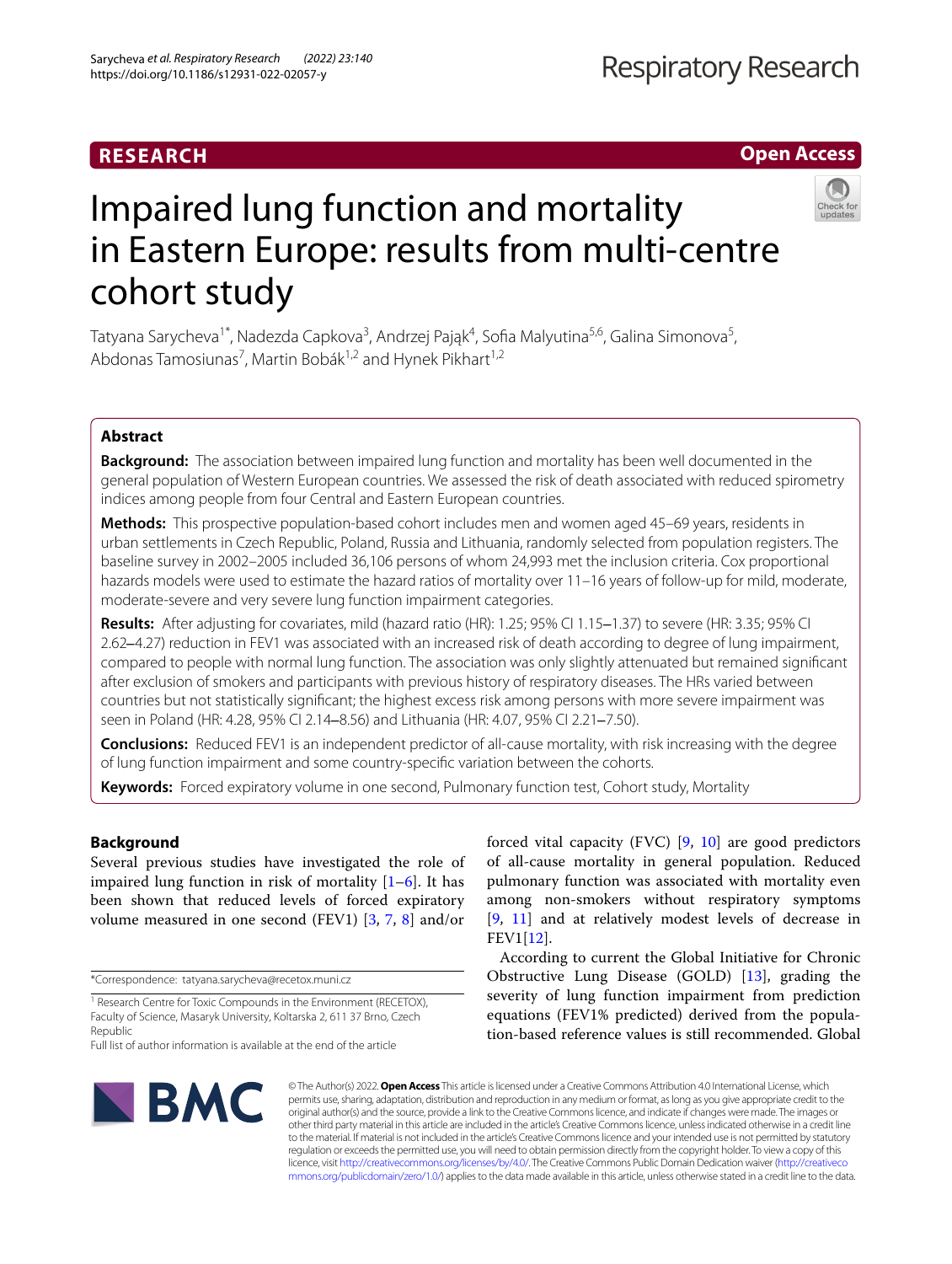# **RESEARCH**

**Open Access**

# Impaired lung function and mortality in Eastern Europe: results from multi-centre cohort study



# **Abstract**

**Background:** The association between impaired lung function and mortality has been well documented in the general population of Western European countries. We assessed the risk of death associated with reduced spirometry indices among people from four Central and Eastern European countries.

**Methods:** This prospective population-based cohort includes men and women aged 45–69 years, residents in urban settlements in Czech Republic, Poland, Russia and Lithuania, randomly selected from population registers. The baseline survey in 2002–2005 included 36,106 persons of whom 24,993 met the inclusion criteria. Cox proportional hazards models were used to estimate the hazard ratios of mortality over 11–16 years of follow-up for mild, moderate, moderate-severe and very severe lung function impairment categories.

**Results:** After adjusting for covariates, mild (hazard ratio (HR): 1.25; 95% CI 1.15–1.37) to severe (HR: 3.35; 95% CI 2.62–4.27) reduction in FEV1 was associated with an increased risk of death according to degree of lung impairment, compared to people with normal lung function. The association was only slightly attenuated but remained signifcant after exclusion of smokers and participants with previous history of respiratory diseases. The HRs varied between countries but not statistically signifcant; the highest excess risk among persons with more severe impairment was seen in Poland (HR: 4.28, 95% CI 2.14–8.56) and Lithuania (HR: 4.07, 95% CI 2.21–7.50).

**Conclusions:** Reduced FEV1 is an independent predictor of all-cause mortality, with risk increasing with the degree of lung function impairment and some country-specifc variation between the cohorts.

**Keywords:** Forced expiratory volume in one second, Pulmonary function test, Cohort study, Mortality

# **Background**

Several previous studies have investigated the role of impaired lung function in risk of mortality  $[1-6]$  $[1-6]$ . It has been shown that reduced levels of forced expiratory volume measured in one second (FEV1) [[3](#page-9-2), [7,](#page-9-3) [8](#page-9-4)] and/or

\*Correspondence: tatyana.sarycheva@recetox.muni.cz

Full list of author information is available at the end of the article



forced vital capacity (FVC) [\[9,](#page-9-5) [10](#page-9-6)] are good predictors of all-cause mortality in general population. Reduced pulmonary function was associated with mortality even among non-smokers without respiratory symptoms [[9,](#page-9-5) [11](#page-9-7)] and at relatively modest levels of decrease in FEV1[\[12](#page-9-8)].

According to current the Global Initiative for Chronic Obstructive Lung Disease (GOLD) [\[13\]](#page-9-9), grading the severity of lung function impairment from prediction equations (FEV1% predicted) derived from the population-based reference values is still recommended. Global

© The Author(s) 2022. **Open Access** This article is licensed under a Creative Commons Attribution 4.0 International License, which permits use, sharing, adaptation, distribution and reproduction in any medium or format, as long as you give appropriate credit to the original author(s) and the source, provide a link to the Creative Commons licence, and indicate if changes were made. The images or other third party material in this article are included in the article's Creative Commons licence, unless indicated otherwise in a credit line to the material. If material is not included in the article's Creative Commons licence and your intended use is not permitted by statutory regulation or exceeds the permitted use, you will need to obtain permission directly from the copyright holder. To view a copy of this licence, visit [http://creativecommons.org/licenses/by/4.0/.](http://creativecommons.org/licenses/by/4.0/) The Creative Commons Public Domain Dedication waiver ([http://creativeco](http://creativecommons.org/publicdomain/zero/1.0/) [mmons.org/publicdomain/zero/1.0/](http://creativecommons.org/publicdomain/zero/1.0/)) applies to the data made available in this article, unless otherwise stated in a credit line to the data.

<sup>&</sup>lt;sup>1</sup> Research Centre for Toxic Compounds in the Environment (RECETOX), Faculty of Science, Masaryk University, Koltarska 2, 611 37 Brno, Czech Republic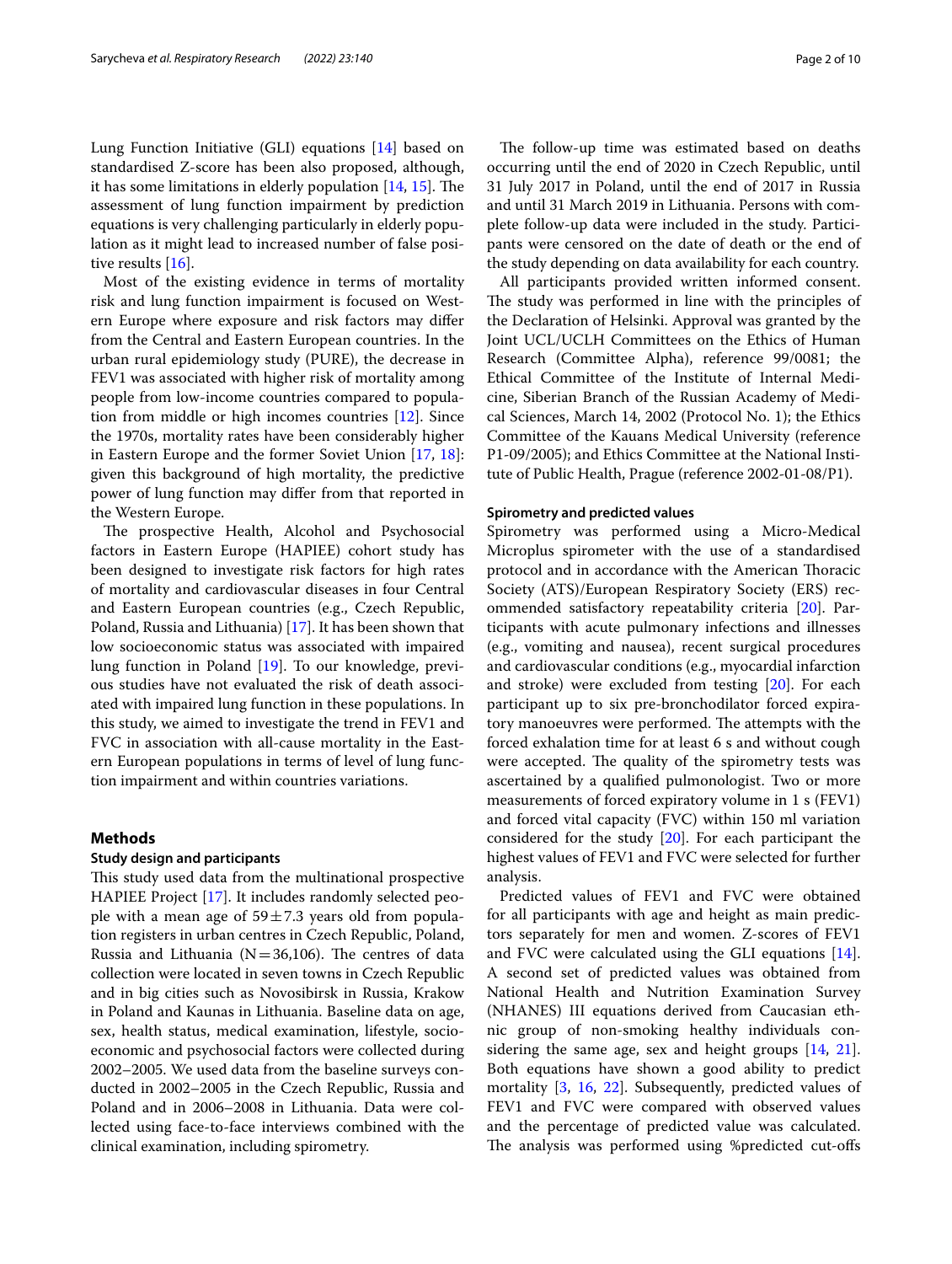Lung Function Initiative (GLI) equations [[14\]](#page-9-10) based on standardised Z-score has been also proposed, although, it has some limitations in elderly population  $[14, 15]$  $[14, 15]$  $[14, 15]$  $[14, 15]$ . The assessment of lung function impairment by prediction equations is very challenging particularly in elderly population as it might lead to increased number of false posi-tive results [\[16](#page-9-12)].

Most of the existing evidence in terms of mortality risk and lung function impairment is focused on Western Europe where exposure and risk factors may difer from the Central and Eastern European countries. In the urban rural epidemiology study (PURE), the decrease in FEV1 was associated with higher risk of mortality among people from low-income countries compared to population from middle or high incomes countries [[12\]](#page-9-8). Since the 1970s, mortality rates have been considerably higher in Eastern Europe and the former Soviet Union [\[17](#page-9-13), [18](#page-9-14)]: given this background of high mortality, the predictive power of lung function may difer from that reported in the Western Europe.

The prospective Health, Alcohol and Psychosocial factors in Eastern Europe (HAPIEE) cohort study has been designed to investigate risk factors for high rates of mortality and cardiovascular diseases in four Central and Eastern European countries (e.g., Czech Republic, Poland, Russia and Lithuania) [\[17](#page-9-13)]. It has been shown that low socioeconomic status was associated with impaired lung function in Poland [\[19](#page-9-15)]. To our knowledge, previous studies have not evaluated the risk of death associated with impaired lung function in these populations. In this study, we aimed to investigate the trend in FEV1 and FVC in association with all-cause mortality in the Eastern European populations in terms of level of lung function impairment and within countries variations.

## **Methods**

## **Study design and participants**

This study used data from the multinational prospective HAPIEE Project [[17\]](#page-9-13). It includes randomly selected people with a mean age of  $59 \pm 7.3$  years old from population registers in urban centres in Czech Republic, Poland, Russia and Lithuania ( $N=36,106$ ). The centres of data collection were located in seven towns in Czech Republic and in big cities such as Novosibirsk in Russia, Krakow in Poland and Kaunas in Lithuania. Baseline data on age, sex, health status, medical examination, lifestyle, socioeconomic and psychosocial factors were collected during 2002–2005. We used data from the baseline surveys conducted in 2002–2005 in the Czech Republic, Russia and Poland and in 2006–2008 in Lithuania. Data were collected using face-to-face interviews combined with the clinical examination, including spirometry.

The follow-up time was estimated based on deaths occurring until the end of 2020 in Czech Republic, until 31 July 2017 in Poland, until the end of 2017 in Russia and until 31 March 2019 in Lithuania. Persons with complete follow-up data were included in the study. Participants were censored on the date of death or the end of the study depending on data availability for each country.

All participants provided written informed consent. The study was performed in line with the principles of the Declaration of Helsinki. Approval was granted by the Joint UCL/UCLH Committees on the Ethics of Human Research (Committee Alpha), reference 99/0081; the Ethical Committee of the Institute of Internal Medicine, Siberian Branch of the Russian Academy of Medical Sciences, March 14, 2002 (Protocol No. 1); the Ethics Committee of the Kauans Medical University (reference P1-09/2005); and Ethics Committee at the National Institute of Public Health, Prague (reference 2002-01-08/P1).

#### **Spirometry and predicted values**

Spirometry was performed using a Micro-Medical Microplus spirometer with the use of a standardised protocol and in accordance with the American Thoracic Society (ATS)/European Respiratory Society (ERS) recommended satisfactory repeatability criteria [\[20](#page-9-16)]. Participants with acute pulmonary infections and illnesses (e.g., vomiting and nausea), recent surgical procedures and cardiovascular conditions (e.g., myocardial infarction and stroke) were excluded from testing [[20\]](#page-9-16). For each participant up to six pre-bronchodilator forced expiratory manoeuvres were performed. The attempts with the forced exhalation time for at least 6 s and without cough were accepted. The quality of the spirometry tests was ascertained by a qualifed pulmonologist. Two or more measurements of forced expiratory volume in 1 s (FEV1) and forced vital capacity (FVC) within 150 ml variation considered for the study [\[20\]](#page-9-16). For each participant the highest values of FEV1 and FVC were selected for further analysis.

Predicted values of FEV1 and FVC were obtained for all participants with age and height as main predictors separately for men and women. Z-scores of FEV1 and FVC were calculated using the GLI equations [\[14](#page-9-10)]. A second set of predicted values was obtained from National Health and Nutrition Examination Survey (NHANES) III equations derived from Caucasian ethnic group of non-smoking healthy individuals considering the same age, sex and height groups [[14,](#page-9-10) [21](#page-9-17)]. Both equations have shown a good ability to predict mortality [\[3,](#page-9-2) [16](#page-9-12), [22\]](#page-9-18). Subsequently, predicted values of FEV1 and FVC were compared with observed values and the percentage of predicted value was calculated. The analysis was performed using %predicted cut-offs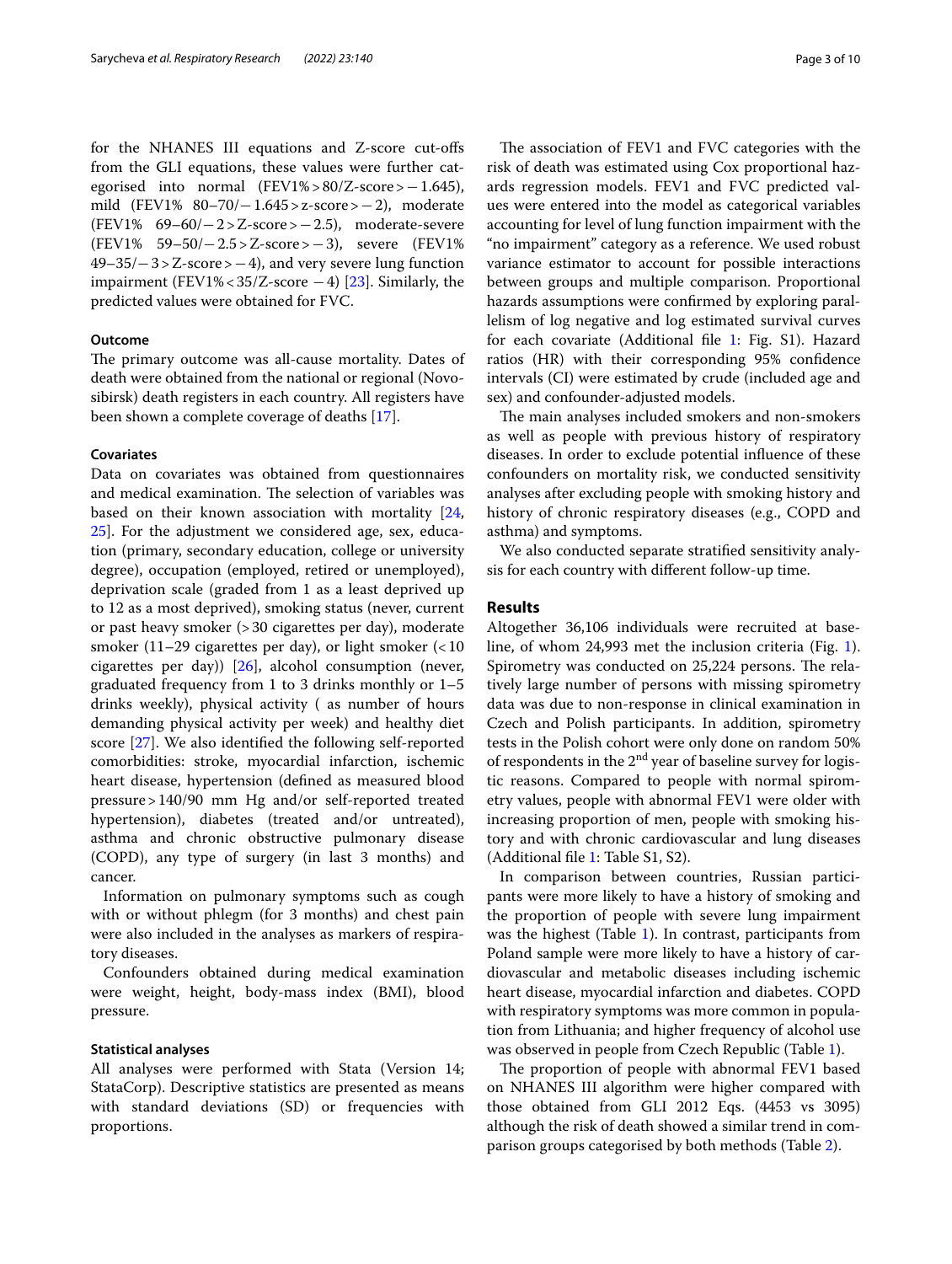for the NHANES III equations and Z-score cut-ofs from the GLI equations, these values were further categorised into normal (FEV1%>80/Z-score>−1.645), mild (FEV1% 80–70/−1.645>z-score>−2), moderate (FEV1% 69–60/−2>Z-score>−2.5), moderate-severe (FEV1% 59–50/−2.5>Z-score>−3), severe (FEV1% 49–35/−3>Z-score>−4), and very severe lung function impairment (FEV1% <  $35/Z$ -score  $-4$ ) [[23](#page-9-19)]. Similarly, the predicted values were obtained for FVC.

## **Outcome**

The primary outcome was all-cause mortality. Dates of death were obtained from the national or regional (Novosibirsk) death registers in each country. All registers have been shown a complete coverage of deaths [\[17](#page-9-13)].

# **Covariates**

Data on covariates was obtained from questionnaires and medical examination. The selection of variables was based on their known association with mortality [\[24](#page-9-20), [25\]](#page-9-21). For the adjustment we considered age, sex, education (primary, secondary education, college or university degree), occupation (employed, retired or unemployed), deprivation scale (graded from 1 as a least deprived up to 12 as a most deprived), smoking status (never, current or past heavy smoker (>30 cigarettes per day), moderate smoker (11–29 cigarettes per day), or light smoker  $\left($  < 10 cigarettes per day)) [[26\]](#page-9-22), alcohol consumption (never, graduated frequency from 1 to 3 drinks monthly or 1–5 drinks weekly), physical activity ( as number of hours demanding physical activity per week) and healthy diet score [\[27](#page-9-23)]. We also identifed the following self-reported comorbidities: stroke, myocardial infarction, ischemic heart disease, hypertension (defned as measured blood pressure>140/90 mm Hg and/or self-reported treated hypertension), diabetes (treated and/or untreated), asthma and chronic obstructive pulmonary disease (COPD), any type of surgery (in last 3 months) and cancer.

Information on pulmonary symptoms such as cough with or without phlegm (for 3 months) and chest pain were also included in the analyses as markers of respiratory diseases.

Confounders obtained during medical examination were weight, height, body-mass index (BMI), blood pressure.

#### **Statistical analyses**

All analyses were performed with Stata (Version 14; StataCorp). Descriptive statistics are presented as means with standard deviations (SD) or frequencies with proportions.

The association of FEV1 and FVC categories with the risk of death was estimated using Cox proportional hazards regression models. FEV1 and FVC predicted values were entered into the model as categorical variables accounting for level of lung function impairment with the "no impairment" category as a reference. We used robust variance estimator to account for possible interactions between groups and multiple comparison. Proportional hazards assumptions were confrmed by exploring parallelism of log negative and log estimated survival curves for each covariate (Additional fle [1](#page-8-0): Fig. S1). Hazard ratios (HR) with their corresponding 95% confdence intervals (CI) were estimated by crude (included age and sex) and confounder-adjusted models.

The main analyses included smokers and non-smokers as well as people with previous history of respiratory diseases. In order to exclude potential infuence of these confounders on mortality risk, we conducted sensitivity analyses after excluding people with smoking history and history of chronic respiratory diseases (e.g., COPD and asthma) and symptoms.

We also conducted separate stratifed sensitivity analysis for each country with diferent follow-up time.

# **Results**

Altogether 36,106 individuals were recruited at baseline, of whom 24,993 met the inclusion criteria (Fig. [1](#page-3-0)). Spirometry was conducted on 25,224 persons. The relatively large number of persons with missing spirometry data was due to non-response in clinical examination in Czech and Polish participants. In addition, spirometry tests in the Polish cohort were only done on random 50% of respondents in the  $2<sup>nd</sup>$  year of baseline survey for logistic reasons. Compared to people with normal spirometry values, people with abnormal FEV1 were older with increasing proportion of men, people with smoking history and with chronic cardiovascular and lung diseases (Additional fle [1](#page-8-0): Table S1, S2).

In comparison between countries, Russian participants were more likely to have a history of smoking and the proportion of people with severe lung impairment was the highest (Table [1](#page-4-0)). In contrast, participants from Poland sample were more likely to have a history of cardiovascular and metabolic diseases including ischemic heart disease, myocardial infarction and diabetes. COPD with respiratory symptoms was more common in population from Lithuania; and higher frequency of alcohol use was observed in people from Czech Republic (Table [1](#page-4-0)).

The proportion of people with abnormal FEV1 based on NHANES III algorithm were higher compared with those obtained from GLI 2012 Eqs. (4453 vs 3095) although the risk of death showed a similar trend in comparison groups categorised by both methods (Table [2](#page-5-0)).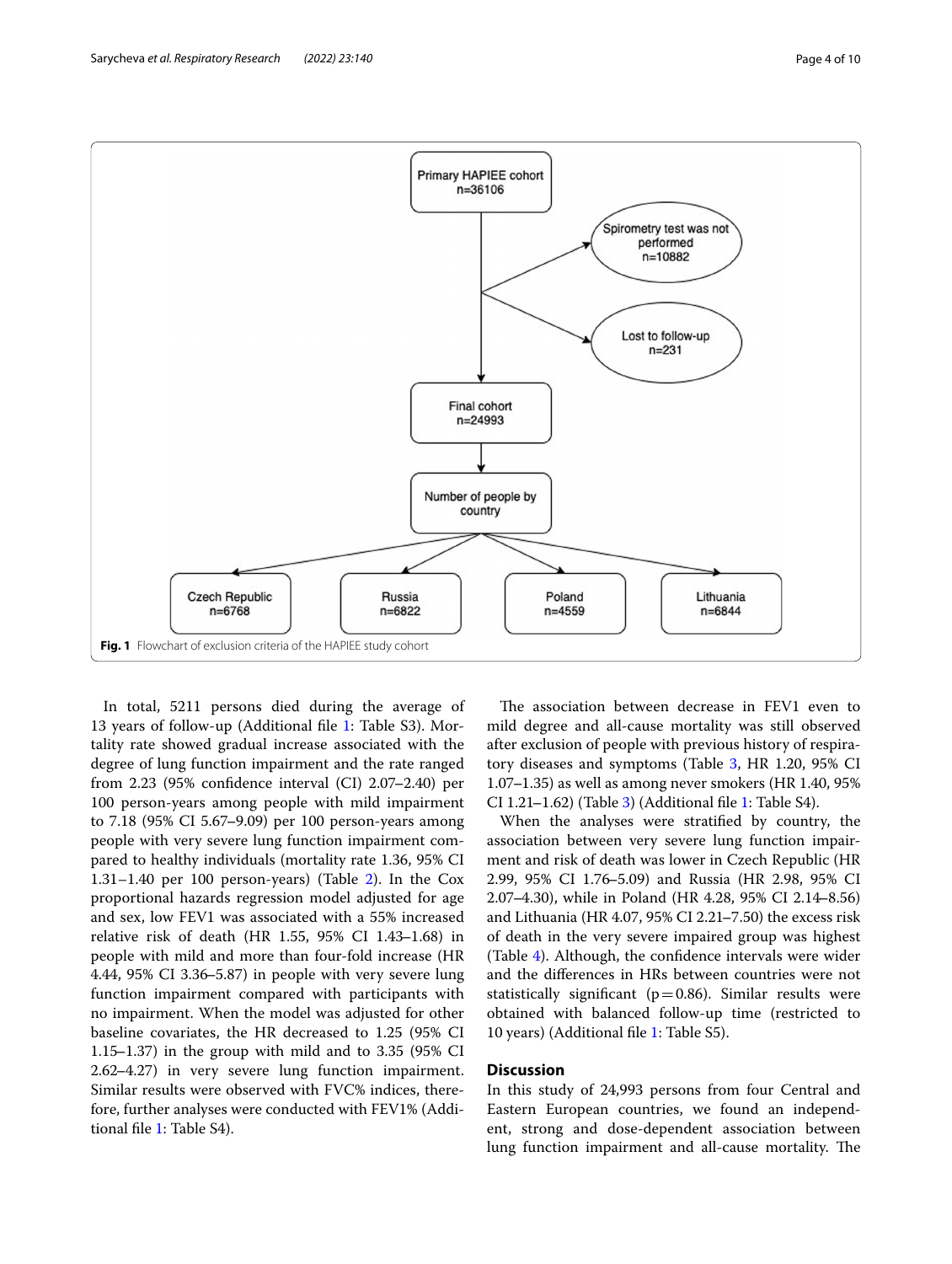Sarycheva *et al. Respiratory Research (2022) 23:140* Page 4 of 10



<span id="page-3-0"></span>In total, 5211 persons died during the average of 13 years of follow-up (Additional fle [1](#page-8-0): Table S3). Mortality rate showed gradual increase associated with the degree of lung function impairment and the rate ranged from 2.23 (95% confidence interval (CI) 2.07-2.40) per 100 person-years among people with mild impairment to 7.18 (95% CI 5.67‒9.09) per 100 person-years among people with very severe lung function impairment compared to healthy individuals (mortality rate 1.36, 95% CI 1.31–1.40 per 100 person-years) (Table  $2$ ). In the Cox proportional hazards regression model adjusted for age and sex, low FEV1 was associated with a 55% increased relative risk of death (HR 1.55, 95% CI 1.43‒1.68) in people with mild and more than four-fold increase (HR 4.44, 95% CI 3.36–5.87) in people with very severe lung function impairment compared with participants with no impairment. When the model was adjusted for other baseline covariates, the HR decreased to 1.25 (95% CI 1.15–1.37) in the group with mild and to 3.35 (95% CI 2.62‒4.27) in very severe lung function impairment. Similar results were observed with FVC% indices, therefore, further analyses were conducted with FEV1% (Additional fle [1](#page-8-0): Table S4).

The association between decrease in FEV1 even to mild degree and all-cause mortality was still observed after exclusion of people with previous history of respira-tory diseases and symptoms (Table [3,](#page-6-0) HR 1.20, 95% CI  $1.07-1.35$ ) as well as among never smokers (HR 1.40, 95%) CI 1.21–1.62) (Table [3](#page-6-0)) (Additional file [1:](#page-8-0) Table S4).

When the analyses were stratifed by country, the association between very severe lung function impairment and risk of death was lower in Czech Republic (HR 2.99, 95% CI 1.76‒5.09) and Russia (HR 2.98, 95% CI 2.07‒4.30), while in Poland (HR 4.28, 95% CI 2.14‒8.56) and Lithuania (HR  $4.07$ ,  $95\%$  CI 2.21–7.50) the excess risk of death in the very severe impaired group was highest (Table [4](#page-7-0)). Although, the confdence intervals were wider and the diferences in HRs between countries were not statistically significant ( $p=0.86$ ). Similar results were obtained with balanced follow-up time (restricted to 10 years) (Additional fle [1](#page-8-0): Table S5).

# **Discussion**

In this study of 24,993 persons from four Central and Eastern European countries, we found an independent, strong and dose-dependent association between lung function impairment and all-cause mortality. The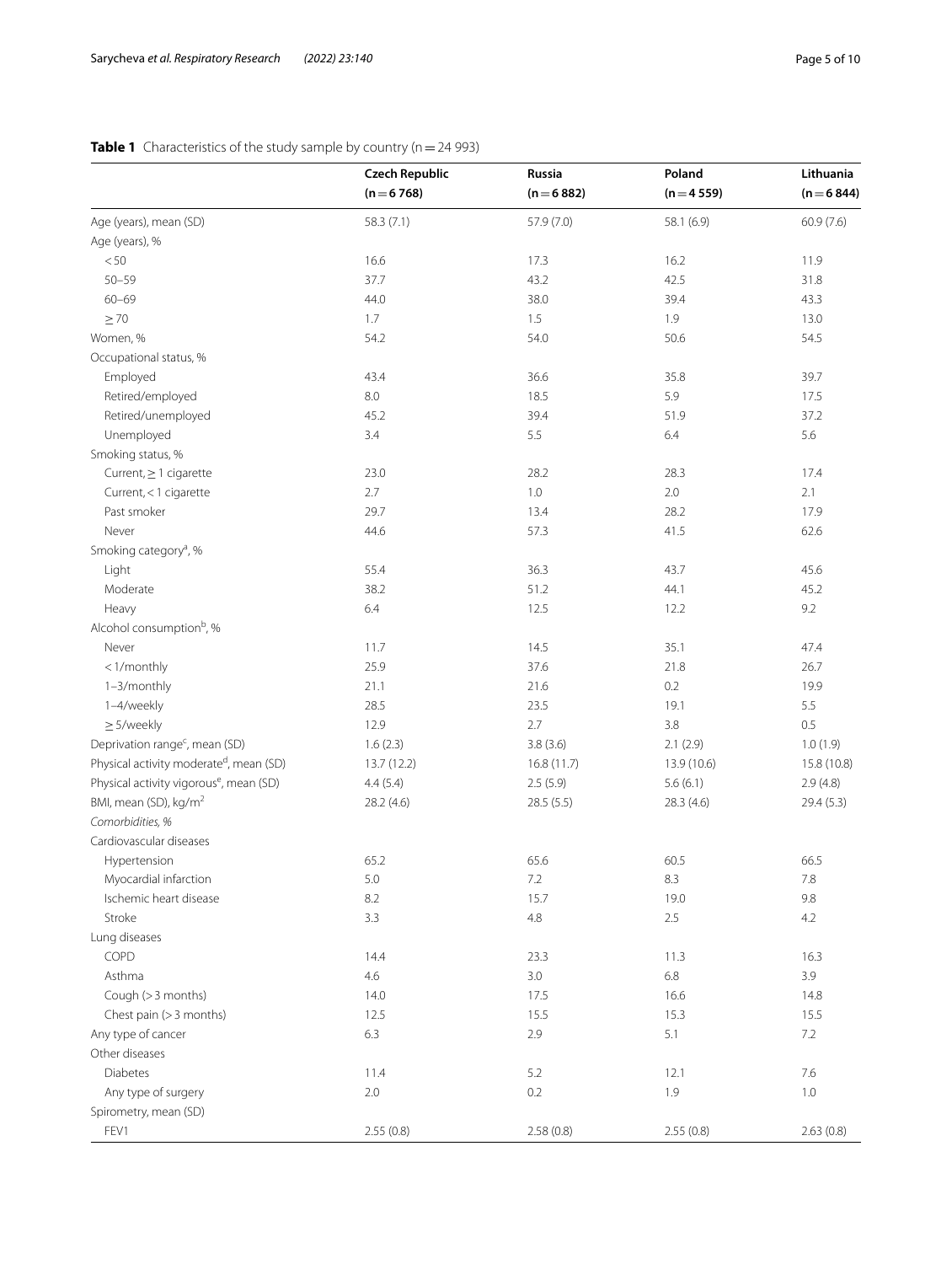# <span id="page-4-0"></span>**Table 1** Characteristics of the study sample by country (n = 24 993)

|                                                     | <b>Czech Republic</b> | Russia       | Poland      | Lithuania     |
|-----------------------------------------------------|-----------------------|--------------|-------------|---------------|
|                                                     | $(n=6768)$            | $(n = 6882)$ | $(n=4559)$  | $(n = 6 844)$ |
| Age (years), mean (SD)                              | 58.3 (7.1)            | 57.9 (7.0)   | 58.1 (6.9)  | 60.9(7.6)     |
| Age (years), %                                      |                       |              |             |               |
| < 50                                                | 16.6                  | 17.3         | 16.2        | 11.9          |
| $50 - 59$                                           | 37.7                  | 43.2         | 42.5        | 31.8          |
| $60 - 69$                                           | 44.0                  | 38.0         | 39.4        | 43.3          |
| $\geq 70$                                           | 1.7                   | 1.5          | 1.9         | 13.0          |
| Women, %                                            | 54.2                  | 54.0         | 50.6        | 54.5          |
| Occupational status, %                              |                       |              |             |               |
| Employed                                            | 43.4                  | 36.6         | 35.8        | 39.7          |
| Retired/employed                                    | $8.0\,$               | 18.5         | 5.9         | 17.5          |
| Retired/unemployed                                  | 45.2                  | 39.4         | 51.9        | 37.2          |
| Unemployed                                          | 3.4                   | 5.5          | 6.4         | 5.6           |
| Smoking status, %                                   |                       |              |             |               |
| Current, $\geq 1$ cigarette                         | 23.0                  | 28.2         | 28.3        | 17.4          |
| Current, < 1 cigarette                              | 2.7                   | $1.0\,$      | $2.0\,$     | 2.1           |
| Past smoker                                         | 29.7                  | 13.4         | 28.2        | 17.9          |
| Never                                               | 44.6                  | 57.3         | 41.5        | 62.6          |
| Smoking category <sup>a</sup> , %                   |                       |              |             |               |
| Light                                               | 55.4                  | 36.3         | 43.7        | 45.6          |
| Moderate                                            | 38.2                  | 51.2         | 44.1        | 45.2          |
| Heavy                                               | 6.4                   | 12.5         | 12.2        | 9.2           |
| Alcohol consumption <sup>b</sup> , %                |                       |              |             |               |
| Never                                               | 11.7                  | 14.5         | 35.1        | 47.4          |
| <1/monthly                                          | 25.9                  | 37.6         | 21.8        | 26.7          |
| 1-3/monthly                                         | 21.1                  | 21.6         | 0.2         | 19.9          |
| 1-4/weekly                                          | 28.5                  | 23.5         | 19.1        | 5.5           |
| $\geq$ 5/weekly                                     | 12.9                  | 2.7          | 3.8         | 0.5           |
| Deprivation range <sup>c</sup> , mean (SD)          | 1.6(2.3)              | 3.8(3.6)     | 2.1(2.9)    | 1.0(1.9)      |
| Physical activity moderated, mean (SD)              | 13.7 (12.2)           | 16.8 (11.7)  | 13.9 (10.6) | 15.8 (10.8)   |
| Physical activity vigorous <sup>e</sup> , mean (SD) | 4.4(5.4)              | 2.5(5.9)     | 5.6(6.1)    | 2.9(4.8)      |
| BMI, mean (SD), kg/m <sup>2</sup>                   | 28.2 (4.6)            | 28.5(5.5)    | 28.3 (4.6)  | 29.4(5.3)     |
| Comorbidities, %                                    |                       |              |             |               |
| Cardiovascular diseases                             |                       |              |             |               |
| Hypertension                                        | 65.2                  | 65.6         | 60.5        | 66.5          |
| Myocardial infarction                               | $5.0\,$               | $7.2\,$      | 8.3         | $7.8\,$       |
| Ischemic heart disease                              | 8.2                   | 15.7         | 19.0        | 9.8           |
| Stroke                                              | 3.3                   | $4.8\,$      | 2.5         | 4.2           |
| Lung diseases                                       |                       |              |             |               |
| COPD                                                | 14.4                  | 23.3         | 11.3        | 16.3          |
| Asthma                                              | 4.6                   | 3.0          | 6.8         | 3.9           |
| Cough (> 3 months)                                  | 14.0                  | 17.5         | 16.6        | 14.8          |
| Chest pain (> 3 months)                             | 12.5                  | 15.5         | 15.3        | 15.5          |
| Any type of cancer                                  | 6.3                   | 2.9          | 5.1         | $7.2\,$       |
| Other diseases                                      |                       |              |             |               |
| <b>Diabetes</b>                                     | 11.4                  | 5.2          | 12.1        | $7.6\,$       |
| Any type of surgery                                 | 2.0                   | 0.2          | 1.9         | $1.0\,$       |
| Spirometry, mean (SD)                               |                       |              |             |               |
| FEV1                                                | 2.55(0.8)             | 2.58(0.8)    | 2.55(0.8)   | 2.63(0.8)     |
|                                                     |                       |              |             |               |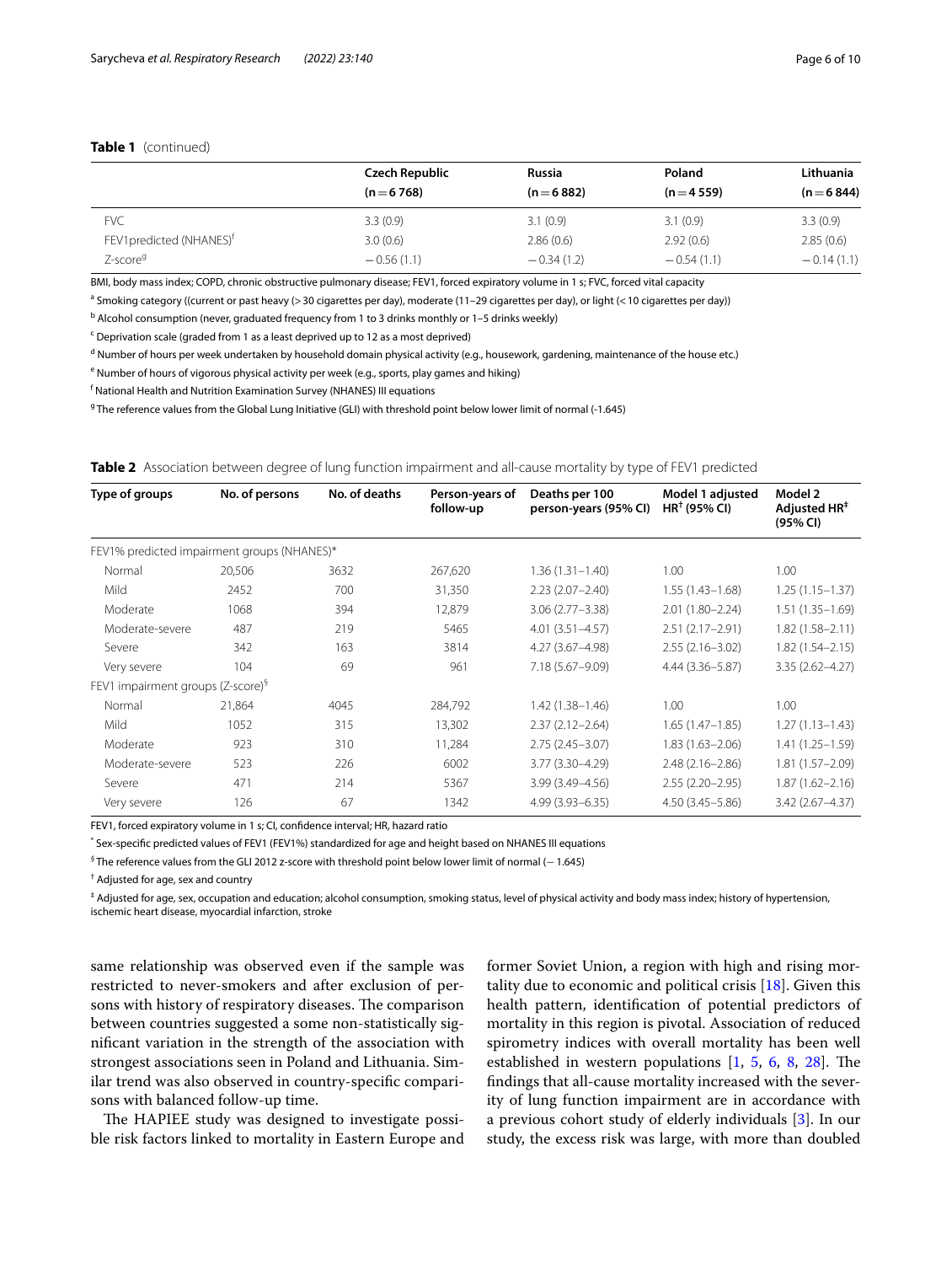# **Table 1** (continued)

|                                      | <b>Czech Republic</b> | Russia       | Poland       | Lithuania    |
|--------------------------------------|-----------------------|--------------|--------------|--------------|
|                                      | $(n=6768)$            | $(n=6882)$   | $(n=4559)$   | $(n=6844)$   |
| <b>FVC</b>                           | 3.3(0.9)              | 3.1(0.9)     | 3.1(0.9)     | 3.3(0.9)     |
| FEV1 predicted (NHANES) <sup>†</sup> | 3.0(0.6)              | 2.86(0.6)    | 2.92(0.6)    | 2.85(0.6)    |
| Z-score <sup>g</sup>                 | $-0.56(1.1)$          | $-0.34(1.2)$ | $-0.54(1.1)$ | $-0.14(1.1)$ |

BMI, body mass index; COPD, chronic obstructive pulmonary disease; FEV1, forced expiratory volume in 1 s; FVC, forced vital capacity

<sup>a</sup> Smoking category ((current or past heavy (> 30 cigarettes per day), moderate (11–29 cigarettes per day), or light (< 10 cigarettes per day))

<sup>b</sup> Alcohol consumption (never, graduated frequency from 1 to 3 drinks monthly or 1–5 drinks weekly)

<sup>c</sup> Deprivation scale (graded from 1 as a least deprived up to 12 as a most deprived)

<sup>d</sup> Number of hours per week undertaken by household domain physical activity (e.g., housework, gardening, maintenance of the house etc.)

<sup>e</sup> Number of hours of vigorous physical activity per week (e.g., sports, play games and hiking)

f National Health and Nutrition Examination Survey (NHANES) III equations

<sup>g</sup> The reference values from the Global Lung Initiative (GLI) with threshold point below lower limit of normal (-1.645)

<span id="page-5-0"></span>**Table 2** Association between degree of lung function impairment and all-cause mortality by type of FEV1 predicted

| Type of groups                                | No. of persons | No. of deaths | Person-years of<br>follow-up | Deaths per 100<br>person-years (95% CI) | Model 1 adjusted<br>$HR†$ (95% CI) | Model 2<br>Adjusted HR <sup>‡</sup><br>(95% CI) |
|-----------------------------------------------|----------------|---------------|------------------------------|-----------------------------------------|------------------------------------|-------------------------------------------------|
| FEV1% predicted impairment groups (NHANES)*   |                |               |                              |                                         |                                    |                                                 |
| Normal                                        | 20,506         | 3632          | 267,620                      | $1.36(1.31 - 1.40)$                     | 1.00                               | 1.00                                            |
| Mild                                          | 2452           | 700           | 31,350                       | $2.23(2.07 - 2.40)$                     | $1.55(1.43 - 1.68)$                | $1.25(1.15 - 1.37)$                             |
| Moderate                                      | 1068           | 394           | 12,879                       | $3.06(2.77 - 3.38)$                     | $2.01(1.80 - 2.24)$                | $1.51(1.35 - 1.69)$                             |
| Moderate-severe                               | 487            | 219           | 5465                         | $4.01(3.51 - 4.57)$                     | $2.51(2.17 - 2.91)$                | $1.82(1.58 - 2.11)$                             |
| Severe                                        | 342            | 163           | 3814                         | 4.27 (3.67-4.98)                        | $2.55(2.16 - 3.02)$                | $1.82(1.54 - 2.15)$                             |
| Very severe                                   | 104            | 69            | 961                          | 7.18 (5.67-9.09)                        | 4.44 (3.36-5.87)                   | $3.35(2.62 - 4.27)$                             |
| FEV1 impairment groups (Z-score) <sup>§</sup> |                |               |                              |                                         |                                    |                                                 |
| Normal                                        | 21,864         | 4045          | 284,792                      | $1.42(1.38 - 1.46)$                     | 1.00                               | 1.00                                            |
| Mild                                          | 1052           | 315           | 13,302                       | $2.37(2.12 - 2.64)$                     | $1.65(1.47-1.85)$                  | $1.27(1.13 - 1.43)$                             |
| Moderate                                      | 923            | 310           | 11,284                       | $2.75(2.45 - 3.07)$                     | $1.83(1.63 - 2.06)$                | $1.41(1.25 - 1.59)$                             |
| Moderate-severe                               | 523            | 226           | 6002                         | 3.77 (3.30-4.29)                        | $2.48(2.16 - 2.86)$                | $1.81(1.57 - 2.09)$                             |
| Severe                                        | 471            | 214           | 5367                         | 3.99 (3.49-4.56)                        | $2.55(2.20 - 2.95)$                | $1.87(1.62 - 2.16)$                             |
| Very severe                                   | 126            | 67            | 1342                         | 4.99 (3.93 - 6.35)                      | $4.50(3.45 - 5.86)$                | $3.42(2.67 - 4.37)$                             |

FEV1, forced expiratory volume in 1 s; CI, confdence interval; HR, hazard ratio

\* Sex-specifc predicted values of FEV1 (FEV1%) standardized for age and height based on NHANES III equations

*§* The reference values from the GLI 2012 z-score with threshold point below lower limit of normal (−1.645)

† Adjusted for age, sex and country

‡ Adjusted for age, sex, occupation and education; alcohol consumption, smoking status, level of physical activity and body mass index; history of hypertension, ischemic heart disease, myocardial infarction, stroke

same relationship was observed even if the sample was restricted to never-smokers and after exclusion of persons with history of respiratory diseases. The comparison between countries suggested a some non-statistically signifcant variation in the strength of the association with strongest associations seen in Poland and Lithuania. Similar trend was also observed in country-specifc comparisons with balanced follow-up time.

The HAPIEE study was designed to investigate possible risk factors linked to mortality in Eastern Europe and former Soviet Union, a region with high and rising mortality due to economic and political crisis  $[18]$  $[18]$ . Given this health pattern, identifcation of potential predictors of mortality in this region is pivotal. Association of reduced spirometry indices with overall mortality has been well established in western populations  $[1, 5, 6, 8, 28]$  $[1, 5, 6, 8, 28]$  $[1, 5, 6, 8, 28]$  $[1, 5, 6, 8, 28]$  $[1, 5, 6, 8, 28]$  $[1, 5, 6, 8, 28]$  $[1, 5, 6, 8, 28]$  $[1, 5, 6, 8, 28]$  $[1, 5, 6, 8, 28]$  $[1, 5, 6, 8, 28]$ . The fndings that all-cause mortality increased with the severity of lung function impairment are in accordance with a previous cohort study of elderly individuals [\[3\]](#page-9-2). In our study, the excess risk was large, with more than doubled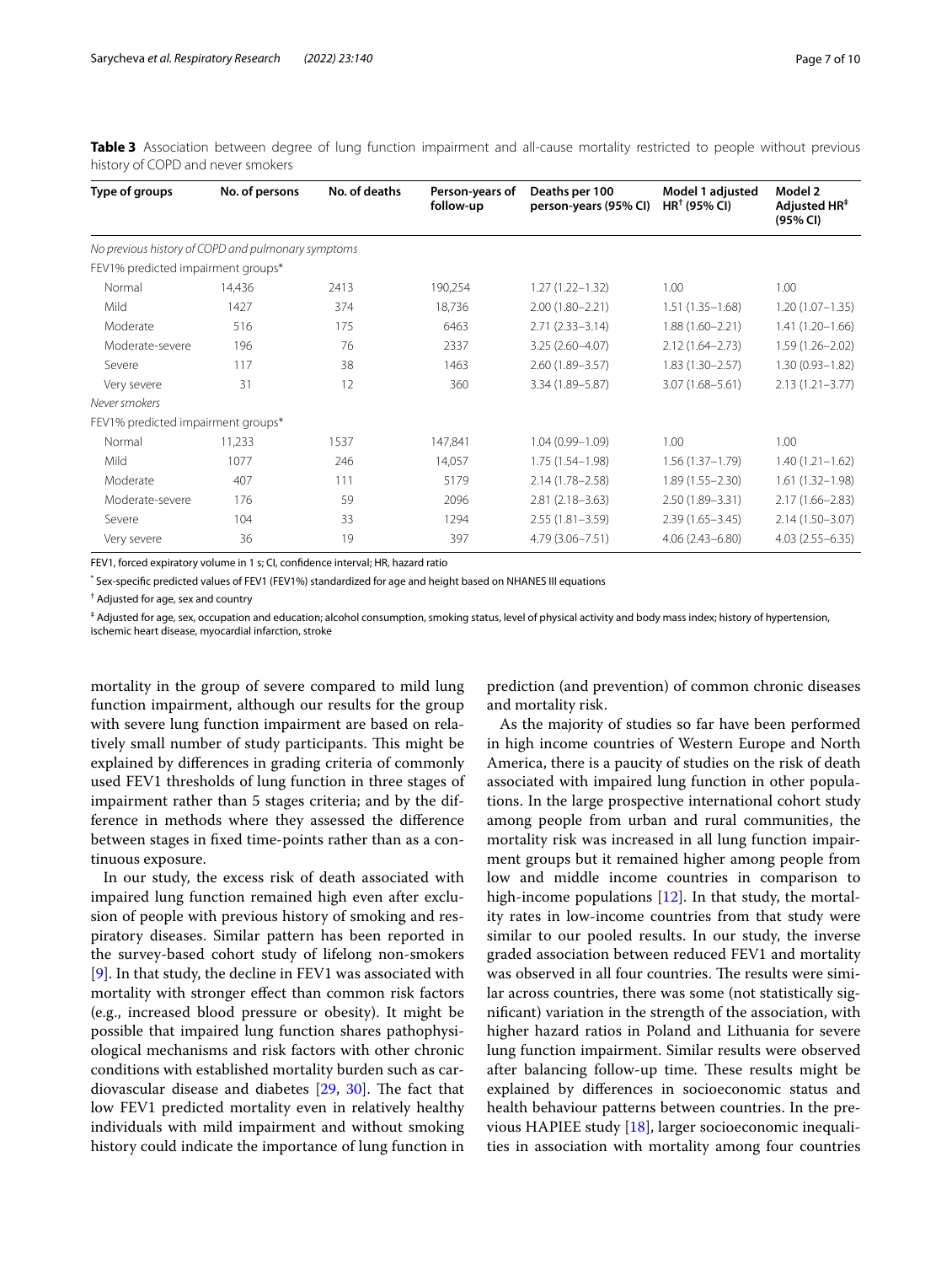| Type of groups                                     | No. of persons | No. of deaths | Person-years of<br>follow-up | Deaths per 100<br>person-years (95% CI) | Model 1 adjusted<br>$HR†$ (95% CI) | Model 2<br>Adjusted HR <sup>#</sup><br>(95% CI) |
|----------------------------------------------------|----------------|---------------|------------------------------|-----------------------------------------|------------------------------------|-------------------------------------------------|
| No previous history of COPD and pulmonary symptoms |                |               |                              |                                         |                                    |                                                 |
| FEV1% predicted impairment groups*                 |                |               |                              |                                         |                                    |                                                 |
| Normal                                             | 14,436         | 2413          | 190,254                      | $1.27(1.22 - 1.32)$                     | 1.00                               | 1.00                                            |
| Mild                                               | 1427           | 374           | 18,736                       | $2.00(1.80 - 2.21)$                     | $1.51(1.35 - 1.68)$                | $1.20(1.07 - 1.35)$                             |
| Moderate                                           | 516            | 175           | 6463                         | $2.71(2.33 - 3.14)$                     | $1.88(1.60 - 2.21)$                | $1.41(1.20 - 1.66)$                             |
| Moderate-severe                                    | 196            | 76            | 2337                         | $3.25(2.60 - 4.07)$                     | $2.12(1.64 - 2.73)$                | $1.59(1.26 - 2.02)$                             |
| Severe                                             | 117            | 38            | 1463                         | 2.60 (1.89-3.57)                        | $1.83(1.30 - 2.57)$                | $1.30(0.93 - 1.82)$                             |
| Very severe                                        | 31             | 12            | 360                          | 3.34 (1.89-5.87)                        | $3.07(1.68 - 5.61)$                | $2.13(1.21 - 3.77)$                             |
| Never smokers                                      |                |               |                              |                                         |                                    |                                                 |
| FEV1% predicted impairment groups*                 |                |               |                              |                                         |                                    |                                                 |
| Normal                                             | 11,233         | 1537          | 147,841                      | $1.04(0.99 - 1.09)$                     | 1.00                               | 1.00                                            |
| Mild                                               | 1077           | 246           | 14,057                       | $1.75(1.54 - 1.98)$                     | $1.56(1.37 - 1.79)$                | $1.40(1.21 - 1.62)$                             |
| Moderate                                           | 407            | 111           | 5179                         | $2.14(1.78 - 2.58)$                     | $1.89(1.55 - 2.30)$                | $1.61(1.32 - 1.98)$                             |
| Moderate-severe                                    | 176            | 59            | 2096                         | $2.81(2.18 - 3.63)$                     | 2.50 (1.89-3.31)                   | $2.17(1.66 - 2.83)$                             |
| Severe                                             | 104            | 33            | 1294                         | $2.55(1.81 - 3.59)$                     | $2.39(1.65 - 3.45)$                | $2.14(1.50 - 3.07)$                             |
| Very severe                                        | 36             | 19            | 397                          | 4.79 (3.06-7.51)                        | $4.06(2.43 - 6.80)$                | $4.03(2.55 - 6.35)$                             |

<span id="page-6-0"></span>**Table 3** Association between degree of lung function impairment and all-cause mortality restricted to people without previous history of COPD and never smokers

FEV1, forced expiratory volume in 1 s; CI, confdence interval; HR, hazard ratio

\* Sex-specifc predicted values of FEV1 (FEV1%) standardized for age and height based on NHANES III equations

† Adjusted for age, sex and country

‡ Adjusted for age, sex, occupation and education; alcohol consumption, smoking status, level of physical activity and body mass index; history of hypertension, ischemic heart disease, myocardial infarction, stroke

mortality in the group of severe compared to mild lung function impairment, although our results for the group with severe lung function impairment are based on relatively small number of study participants. This might be explained by diferences in grading criteria of commonly used FEV1 thresholds of lung function in three stages of impairment rather than 5 stages criteria; and by the difference in methods where they assessed the diference between stages in fxed time-points rather than as a continuous exposure.

In our study, the excess risk of death associated with impaired lung function remained high even after exclusion of people with previous history of smoking and respiratory diseases. Similar pattern has been reported in the survey-based cohort study of lifelong non-smokers [[9\]](#page-9-5). In that study, the decline in FEV1 was associated with mortality with stronger efect than common risk factors (e.g., increased blood pressure or obesity). It might be possible that impaired lung function shares pathophysiological mechanisms and risk factors with other chronic conditions with established mortality burden such as cardiovascular disease and diabetes  $[29, 30]$  $[29, 30]$  $[29, 30]$  $[29, 30]$  $[29, 30]$ . The fact that low FEV1 predicted mortality even in relatively healthy individuals with mild impairment and without smoking history could indicate the importance of lung function in prediction (and prevention) of common chronic diseases and mortality risk.

As the majority of studies so far have been performed in high income countries of Western Europe and North America, there is a paucity of studies on the risk of death associated with impaired lung function in other populations. In the large prospective international cohort study among people from urban and rural communities, the mortality risk was increased in all lung function impairment groups but it remained higher among people from low and middle income countries in comparison to high-income populations [[12](#page-9-8)]. In that study, the mortality rates in low-income countries from that study were similar to our pooled results. In our study, the inverse graded association between reduced FEV1 and mortality was observed in all four countries. The results were similar across countries, there was some (not statistically signifcant) variation in the strength of the association, with higher hazard ratios in Poland and Lithuania for severe lung function impairment. Similar results were observed after balancing follow-up time. These results might be explained by diferences in socioeconomic status and health behaviour patterns between countries. In the previous HAPIEE study [\[18\]](#page-9-14), larger socioeconomic inequalities in association with mortality among four countries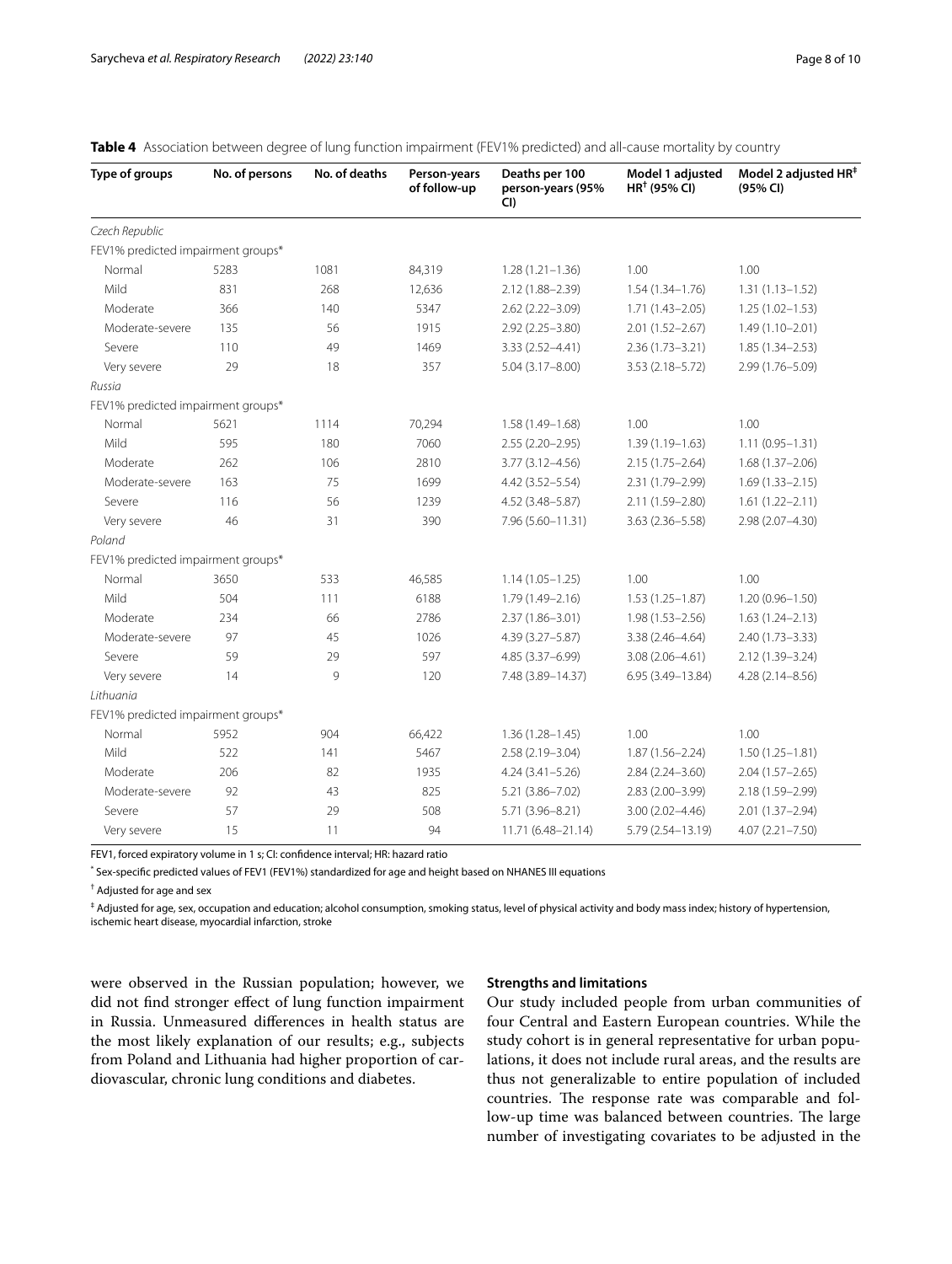| Type of groups                     | No. of persons | No. of deaths | Person-years<br>of follow-up | Deaths per 100<br>person-years (95%<br>CI | Model 1 adjusted<br>$HR†$ (95% CI) | Model 2 adjusted HR <sup>‡</sup><br>(95% CI) |
|------------------------------------|----------------|---------------|------------------------------|-------------------------------------------|------------------------------------|----------------------------------------------|
| Czech Republic                     |                |               |                              |                                           |                                    |                                              |
| FEV1% predicted impairment groups* |                |               |                              |                                           |                                    |                                              |
| Normal                             | 5283           | 1081          | 84,319                       | $1.28(1.21 - 1.36)$                       | 1.00                               | 1.00                                         |
| Mild                               | 831            | 268           | 12,636                       | 2.12 (1.88-2.39)                          | $1.54(1.34 - 1.76)$                | $1.31(1.13 - 1.52)$                          |
| Moderate                           | 366            | 140           | 5347                         | $2.62(2.22 - 3.09)$                       | $1.71(1.43 - 2.05)$                | $1.25(1.02 - 1.53)$                          |
| Moderate-severe                    | 135            | 56            | 1915                         | $2.92(2.25 - 3.80)$                       | $2.01(1.52 - 2.67)$                | $1.49(1.10 - 2.01)$                          |
| Severe                             | 110            | 49            | 1469                         | $3.33(2.52 - 4.41)$                       | $2.36(1.73 - 3.21)$                | $1.85(1.34 - 2.53)$                          |
| Very severe                        | 29             | 18            | 357                          | $5.04(3.17 - 8.00)$                       | $3.53(2.18 - 5.72)$                | 2.99 (1.76-5.09)                             |
| Russia                             |                |               |                              |                                           |                                    |                                              |
| FEV1% predicted impairment groups* |                |               |                              |                                           |                                    |                                              |
| Normal                             | 5621           | 1114          | 70,294                       | $1.58(1.49 - 1.68)$                       | 1.00                               | 1.00                                         |
| Mild                               | 595            | 180           | 7060                         | $2.55(2.20 - 2.95)$                       | $1.39(1.19 - 1.63)$                | $1.11(0.95 - 1.31)$                          |
| Moderate                           | 262            | 106           | 2810                         | $3.77(3.12 - 4.56)$                       | $2.15(1.75 - 2.64)$                | $1.68(1.37 - 2.06)$                          |
| Moderate-severe                    | 163            | 75            | 1699                         | 4.42 (3.52-5.54)                          | 2.31 (1.79-2.99)                   | $1.69(1.33 - 2.15)$                          |
| Severe                             | 116            | 56            | 1239                         | 4.52 (3.48-5.87)                          | 2.11 (1.59-2.80)                   | $1.61(1.22 - 2.11)$                          |
| Very severe                        | 46             | 31            | 390                          | 7.96 (5.60-11.31)                         | $3.63(2.36 - 5.58)$                | 2.98 (2.07-4.30)                             |
| Poland                             |                |               |                              |                                           |                                    |                                              |
| FEV1% predicted impairment groups* |                |               |                              |                                           |                                    |                                              |
| Normal                             | 3650           | 533           | 46,585                       | $1.14(1.05 - 1.25)$                       | 1.00                               | 1.00                                         |
| Mild                               | 504            | 111           | 6188                         | $1.79(1.49 - 2.16)$                       | $1.53(1.25 - 1.87)$                | $1.20(0.96 - 1.50)$                          |
| Moderate                           | 234            | 66            | 2786                         | $2.37(1.86 - 3.01)$                       | $1.98(1.53 - 2.56)$                | $1.63(1.24 - 2.13)$                          |
| Moderate-severe                    | 97             | 45            | 1026                         | 4.39 (3.27-5.87)                          | $3.38(2.46 - 4.64)$                | $2.40(1.73 - 3.33)$                          |
| Severe                             | 59             | 29            | 597                          | 4.85 (3.37-6.99)                          | $3.08(2.06 - 4.61)$                | 2.12 (1.39-3.24)                             |
| Very severe                        | 14             | 9             | 120                          | 7.48 (3.89-14.37)                         | 6.95 (3.49-13.84)                  | $4.28(2.14 - 8.56)$                          |
| Lithuania                          |                |               |                              |                                           |                                    |                                              |
| FEV1% predicted impairment groups* |                |               |                              |                                           |                                    |                                              |
| Normal                             | 5952           | 904           | 66,422                       | $1.36(1.28 - 1.45)$                       | 1.00                               | 1.00                                         |
| Mild                               | 522            | 141           | 5467                         | 2.58 (2.19-3.04)                          | $1.87(1.56 - 2.24)$                | $1.50(1.25 - 1.81)$                          |
| Moderate                           | 206            | 82            | 1935                         | $4.24(3.41 - 5.26)$                       | $2.84(2.24 - 3.60)$                | $2.04(1.57 - 2.65)$                          |
| Moderate-severe                    | 92             | 43            | 825                          | 5.21 (3.86-7.02)                          | 2.83 (2.00-3.99)                   | 2.18 (1.59-2.99)                             |
| Severe                             | 57             | 29            | 508                          | 5.71 (3.96-8.21)                          | $3.00(2.02 - 4.46)$                | $2.01(1.37 - 2.94)$                          |
| Very severe                        | 15             | 11            | 94                           | 11.71 (6.48-21.14)                        | 5.79 (2.54-13.19)                  | $4.07(2.21 - 7.50)$                          |

## <span id="page-7-0"></span>**Table 4** Association between degree of lung function impairment (FEV1% predicted) and all-cause mortality by country

FEV1, forced expiratory volume in 1 s; CI: confdence interval; HR: hazard ratio

\* Sex-specifc predicted values of FEV1 (FEV1%) standardized for age and height based on NHANES III equations

† Adjusted for age and sex

‡ Adjusted for age, sex, occupation and education; alcohol consumption, smoking status, level of physical activity and body mass index; history of hypertension, ischemic heart disease, myocardial infarction, stroke

were observed in the Russian population; however, we did not fnd stronger efect of lung function impairment in Russia. Unmeasured diferences in health status are the most likely explanation of our results; e.g., subjects from Poland and Lithuania had higher proportion of cardiovascular, chronic lung conditions and diabetes.

## **Strengths and limitations**

Our study included people from urban communities of four Central and Eastern European countries. While the study cohort is in general representative for urban populations, it does not include rural areas, and the results are thus not generalizable to entire population of included countries. The response rate was comparable and follow-up time was balanced between countries. The large number of investigating covariates to be adjusted in the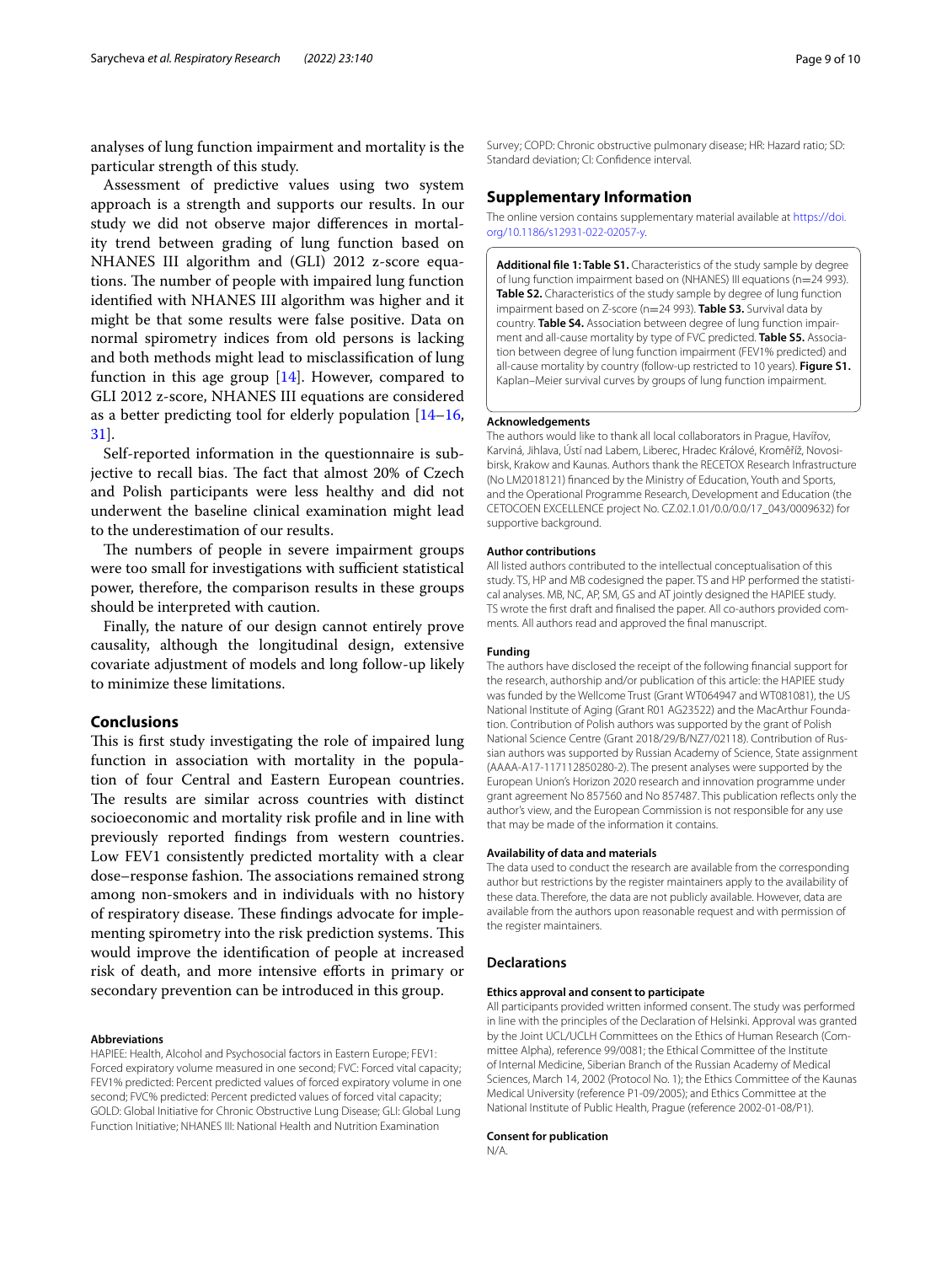analyses of lung function impairment and mortality is the particular strength of this study.

Assessment of predictive values using two system approach is a strength and supports our results. In our study we did not observe major diferences in mortality trend between grading of lung function based on NHANES III algorithm and (GLI) 2012 z-score equations. The number of people with impaired lung function identifed with NHANES III algorithm was higher and it might be that some results were false positive. Data on normal spirometry indices from old persons is lacking and both methods might lead to misclassifcation of lung function in this age group  $[14]$  $[14]$  $[14]$ . However, compared to GLI 2012 z-score, NHANES III equations are considered as a better predicting tool for elderly population [[14](#page-9-10)[–16](#page-9-12), [31\]](#page-9-28).

Self-reported information in the questionnaire is subjective to recall bias. The fact that almost 20% of Czech and Polish participants were less healthy and did not underwent the baseline clinical examination might lead to the underestimation of our results.

The numbers of people in severe impairment groups were too small for investigations with sufficient statistical power, therefore, the comparison results in these groups should be interpreted with caution.

Finally, the nature of our design cannot entirely prove causality, although the longitudinal design, extensive covariate adjustment of models and long follow-up likely to minimize these limitations.

# **Conclusions**

This is first study investigating the role of impaired lung function in association with mortality in the population of four Central and Eastern European countries. The results are similar across countries with distinct socioeconomic and mortality risk profle and in line with previously reported fndings from western countries. Low FEV1 consistently predicted mortality with a clear dose–response fashion. The associations remained strong among non-smokers and in individuals with no history of respiratory disease. These findings advocate for implementing spirometry into the risk prediction systems. This would improve the identifcation of people at increased risk of death, and more intensive eforts in primary or secondary prevention can be introduced in this group.

#### **Abbreviations**

HAPIEE: Health, Alcohol and Psychosocial factors in Eastern Europe; FEV1: Forced expiratory volume measured in one second; FVC: Forced vital capacity; FEV1% predicted: Percent predicted values of forced expiratory volume in one second; FVC% predicted: Percent predicted values of forced vital capacity; GOLD: Global Initiative for Chronic Obstructive Lung Disease; GLI: Global Lung Function Initiative; NHANES III: National Health and Nutrition Examination

Survey; COPD: Chronic obstructive pulmonary disease; HR: Hazard ratio; SD: Standard deviation; CI: Confdence interval.

## **Supplementary Information**

The online version contains supplementary material available at [https://doi.](https://doi.org/10.1186/s12931-022-02057-y) [org/10.1186/s12931-022-02057-y.](https://doi.org/10.1186/s12931-022-02057-y)

<span id="page-8-0"></span>**Additional fle 1: Table S1.** Characteristics of the study sample by degree of lung function impairment based on (NHANES) III equations (n=24 993). **Table S2.** Characteristics of the study sample by degree of lung function impairment based on Z-score (n=24 993). **Table S3.** Survival data by country. **Table S4.** Association between degree of lung function impairment and all-cause mortality by type of FVC predicted. **Table S5.** Association between degree of lung function impairment (FEV1% predicted) and all-cause mortality by country (follow-up restricted to 10 years). **Figure S1.** Kaplan–Meier survival curves by groups of lung function impairment.

#### **Acknowledgements**

The authors would like to thank all local collaborators in Prague, Havířov, Karviná, Jihlava, Ústí nad Labem, Liberec, Hradec Králové, Kroměříž, Novosibirsk, Krakow and Kaunas. Authors thank the RECETOX Research Infrastructure (No LM2018121) fnanced by the Ministry of Education, Youth and Sports, and the Operational Programme Research, Development and Education (the CETOCOEN EXCELLENCE project No. CZ.02.1.01/0.0/0.0/17\_043/0009632) for supportive background.

#### **Author contributions**

All listed authors contributed to the intellectual conceptualisation of this study. TS, HP and MB codesigned the paper. TS and HP performed the statistical analyses. MB, NC, AP, SM, GS and AT jointly designed the HAPIEE study. TS wrote the frst draft and fnalised the paper. All co-authors provided comments. All authors read and approved the fnal manuscript.

#### **Funding**

The authors have disclosed the receipt of the following fnancial support for the research, authorship and/or publication of this article: the HAPIEE study was funded by the Wellcome Trust (Grant WT064947 and WT081081), the US National Institute of Aging (Grant R01 AG23522) and the MacArthur Foundation. Contribution of Polish authors was supported by the grant of Polish National Science Centre (Grant 2018/29/B/NZ7/02118). Contribution of Russian authors was supported by Russian Academy of Science, State assignment (AAAA-A17-117112850280-2). The present analyses were supported by the European Union's Horizon 2020 research and innovation programme under grant agreement No 857560 and No 857487. This publication refects only the author's view, and the European Commission is not responsible for any use that may be made of the information it contains.

#### **Availability of data and materials**

The data used to conduct the research are available from the corresponding author but restrictions by the register maintainers apply to the availability of these data. Therefore, the data are not publicly available. However, data are available from the authors upon reasonable request and with permission of the register maintainers.

#### **Declarations**

#### **Ethics approval and consent to participate**

All participants provided written informed consent. The study was performed in line with the principles of the Declaration of Helsinki. Approval was granted by the Joint UCL/UCLH Committees on the Ethics of Human Research (Committee Alpha), reference 99/0081; the Ethical Committee of the Institute of Internal Medicine, Siberian Branch of the Russian Academy of Medical Sciences, March 14, 2002 (Protocol No. 1); the Ethics Committee of the Kaunas Medical University (reference P1-09/2005); and Ethics Committee at the National Institute of Public Health, Prague (reference 2002-01-08/P1).

#### **Consent for publication**

N/A.